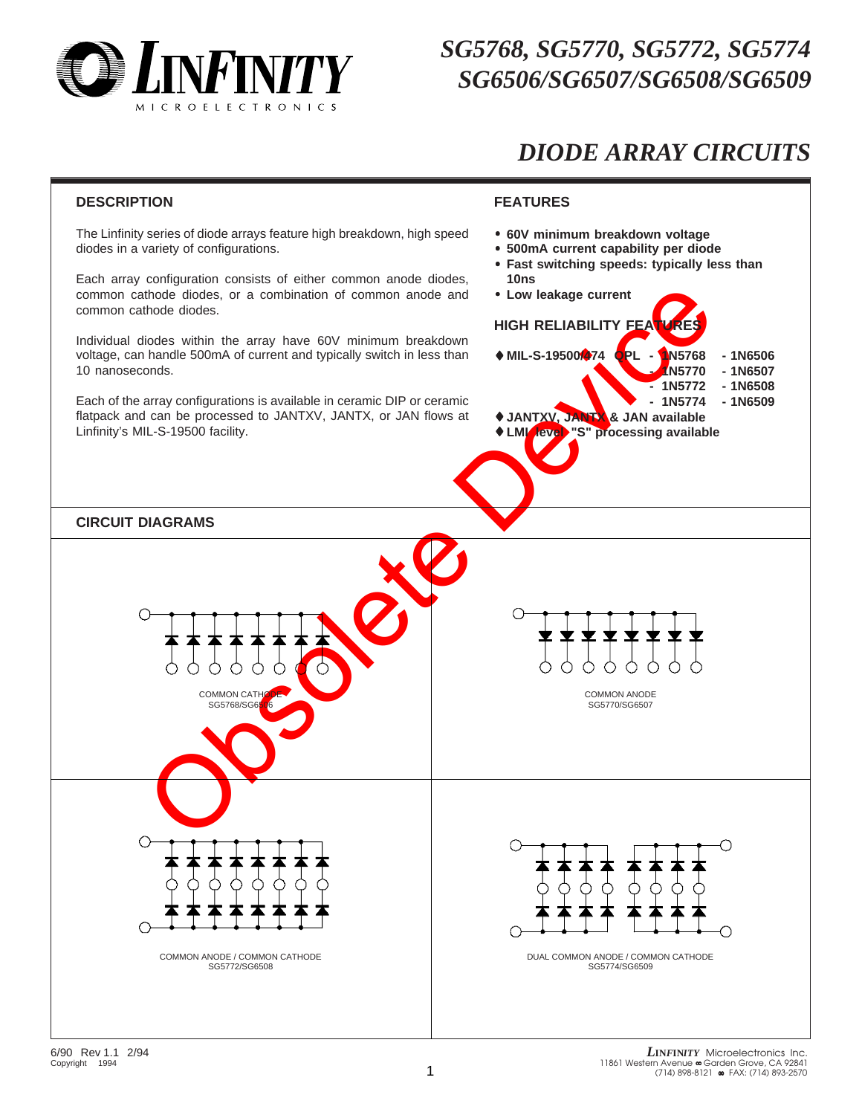

#### *SG5768, SG5770, SG5772, SG5774 SG6506/SG6507/SG6508/SG6509*

### *DIODE ARRAY CIRCUITS*

#### **DESCRIPTION**

The Linfinity series of diode arrays feature high breakdown, high speed diodes in a variety of configurations.

Each array configuration consists of either common anode diodes, common cathode diodes, or a combination of common anode and common cathode diodes.

Individual diodes within the array have 60V minimum breakdown voltage, can handle 500mA of current and typically switch in less than 10 nanoseconds.

Each of the array configurations is available in ceramic DIP or ceramic flatpack and can be processed to JANTXV, JANTX, or JAN flows at Linfinity's MIL-S-19500 facility.

#### **FEATURES**

- **60V minimum breakdown voltage**
- **500mA current capability per diode**
	- **Fast switching speeds: typically less than 10ns**
	- **Low leakage current**

#### **HIGH RELIABILITY FEAT**

- ♦ **MIL-S-19500/474 QPL 1N5768 1N6506**
	- **1N5770 1N6507 - 1N5772 - 1N6508**
	- **1N5774 1N6509**
		-
- ♦ **JANTXV, JANTX & JAN available** ♦ **LMI level "S" processing available**

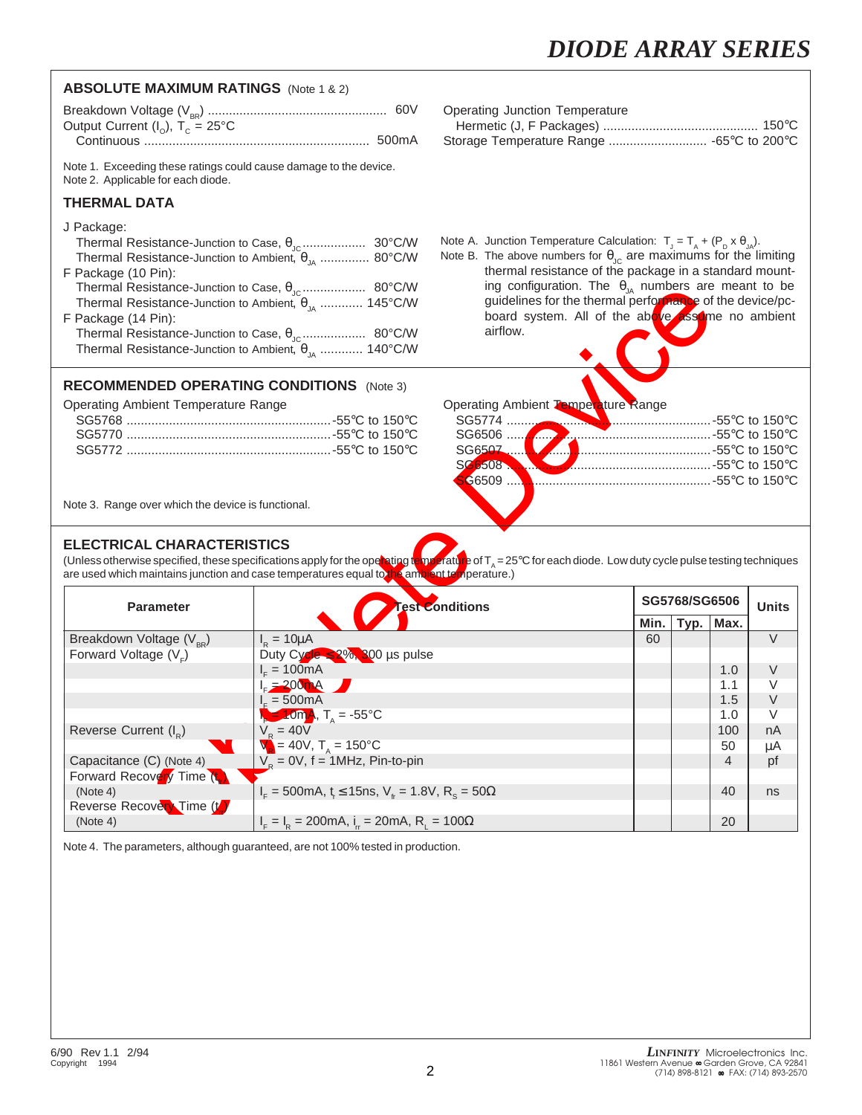| <b>ABSOLUTE MAXIMUM RATINGS</b> (Note 1 & 2)                                                                                                                                                                                                                        |                                                                                                     |                                                                                                                                                                                                                                                                                                                                                                                                                                    |      |               |           |              |
|---------------------------------------------------------------------------------------------------------------------------------------------------------------------------------------------------------------------------------------------------------------------|-----------------------------------------------------------------------------------------------------|------------------------------------------------------------------------------------------------------------------------------------------------------------------------------------------------------------------------------------------------------------------------------------------------------------------------------------------------------------------------------------------------------------------------------------|------|---------------|-----------|--------------|
| Output Current ( $I_o$ ), T <sub>c</sub> = 25°C                                                                                                                                                                                                                     |                                                                                                     | <b>Operating Junction Temperature</b><br>Storage Temperature Range  -65°C to 200°C                                                                                                                                                                                                                                                                                                                                                 |      |               |           |              |
| Note 1. Exceeding these ratings could cause damage to the device.<br>Note 2. Applicable for each diode.                                                                                                                                                             |                                                                                                     |                                                                                                                                                                                                                                                                                                                                                                                                                                    |      |               |           |              |
| <b>THERMAL DATA</b>                                                                                                                                                                                                                                                 |                                                                                                     |                                                                                                                                                                                                                                                                                                                                                                                                                                    |      |               |           |              |
| J Package:<br>Thermal Resistance-Junction to Ambient, $\theta_{1\text{A}}$ 80°C/W<br>F Package (10 Pin):<br>Thermal Resistance-Junction to Ambient, $\theta_{\mu}$ 145°C/W<br>F Package (14 Pin):<br>Thermal Resistance-Junction to Ambient, $\theta_{\mu}$ 140°C/W |                                                                                                     | Note A. Junction Temperature Calculation: $T_{J} = T_{A} + (P_{D} \times \theta_{JA})$ .<br>Note B. The above numbers for $\theta_{\text{JC}}$ are maximums for the limiting<br>thermal resistance of the package in a standard mount-<br>ing configuration. The $\theta_{JA}$ numbers are meant to be<br>guidelines for the thermal performance of the device/pc-<br>board system. All of the above assume no ambient<br>airflow. |      |               |           |              |
| <b>RECOMMENDED OPERATING CONDITIONS</b> (Note 3)                                                                                                                                                                                                                    |                                                                                                     |                                                                                                                                                                                                                                                                                                                                                                                                                                    |      |               |           |              |
| <b>Operating Ambient Temperature Range</b><br>Note 3. Range over which the device is functional.                                                                                                                                                                    |                                                                                                     | Operating Ambient Temperature Range                                                                                                                                                                                                                                                                                                                                                                                                |      |               |           |              |
| <b>ELECTRICAL CHARACTERISTICS</b><br>are used which maintains junction and case temperatures equal to he ambient temperature.)                                                                                                                                      |                                                                                                     | (Unless otherwise specified, these specifications apply for the operating temperature of $T_A = 25^\circ \text{C}$ for each diode. Low duty cycle pulse testing techniques                                                                                                                                                                                                                                                         |      | SG5768/SG6506 |           |              |
| <b>Parameter</b>                                                                                                                                                                                                                                                    |                                                                                                     | <b>Test Conditions</b>                                                                                                                                                                                                                                                                                                                                                                                                             | Min. | Typ.          | Max.      | <b>Units</b> |
| Breakdown Voltage $(V_{_{RR}})$                                                                                                                                                                                                                                     | $I_R = 10 \mu A$                                                                                    |                                                                                                                                                                                                                                                                                                                                                                                                                                    | 60   |               |           | V            |
| Forward Voltage (V <sub>E</sub> )                                                                                                                                                                                                                                   | Duty Cycle $\leq 2\%$ , 300 µs pulse<br>$I_{E} = 100mA$                                             |                                                                                                                                                                                                                                                                                                                                                                                                                                    |      |               | 1.0       | V            |
|                                                                                                                                                                                                                                                                     | $I_{F} = 200 \text{ mA}$                                                                            |                                                                                                                                                                                                                                                                                                                                                                                                                                    |      |               | 1.1       | V            |
|                                                                                                                                                                                                                                                                     | $I_c = 500mA$                                                                                       |                                                                                                                                                                                                                                                                                                                                                                                                                                    |      |               | 1.5       | V            |
|                                                                                                                                                                                                                                                                     | $T_{\rm A} = 10 \text{mA}, T_{\rm A} = -55^{\circ} \text{C}$<br>$V_{\rm p} = 40V$                   |                                                                                                                                                                                                                                                                                                                                                                                                                                    |      |               | 1.0       | $\vee$       |
| Reverse Current (I <sub>D</sub> )                                                                                                                                                                                                                                   | $\overline{V}$ = 40V, $T_A$ = 150°C                                                                 |                                                                                                                                                                                                                                                                                                                                                                                                                                    |      |               | 100<br>50 | nA<br>μA     |
| Capacitance (C) (Note 4)                                                                                                                                                                                                                                            | $VR = 0V$ , f = 1MHz, Pin-to-pin                                                                    |                                                                                                                                                                                                                                                                                                                                                                                                                                    |      |               | 4         | pf           |
| Forward Recovery Time (t.)                                                                                                                                                                                                                                          |                                                                                                     |                                                                                                                                                                                                                                                                                                                                                                                                                                    |      |               |           |              |
| (Note 4)<br>Reverse Recovery Time (t)                                                                                                                                                                                                                               | $I_{F} = 500$ mA, t <sub>r</sub> $\leq 15$ ns, V <sub>fr</sub> = 1.8V, R <sub>s</sub> = 50 $\Omega$ |                                                                                                                                                                                                                                                                                                                                                                                                                                    |      |               | 40        | ns           |
| (Note 4)                                                                                                                                                                                                                                                            | $I_{F} = I_{R} = 200 \text{mA}, I_{r} = 20 \text{mA}, R_{r} = 100 \Omega$                           |                                                                                                                                                                                                                                                                                                                                                                                                                                    |      |               | 20        |              |

Note 4. The parameters, although guaranteed, are not 100% tested in production.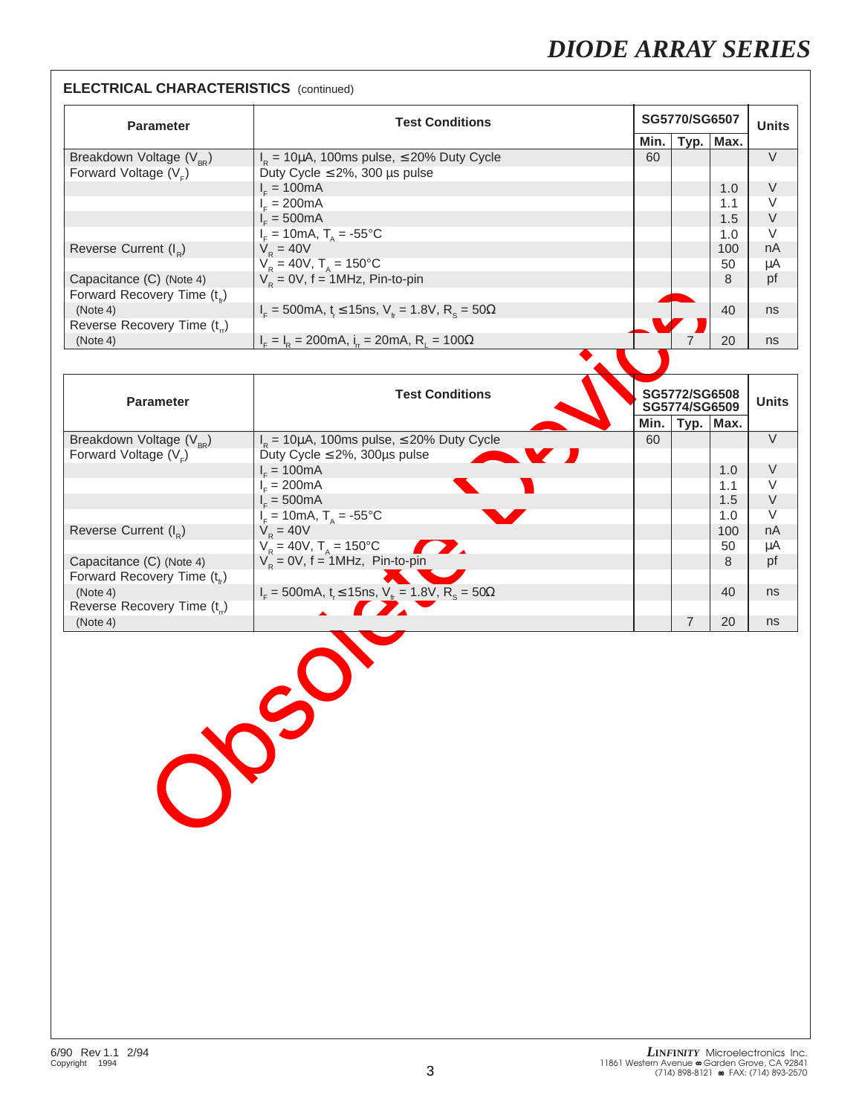#### **ELECTRICAL CHARACTERISTICS** (continued)

| <b>Parameter</b>                         | <b>Test Conditions</b>                                                                   |      | SG5770/SG6507 |      | <b>Units</b> |
|------------------------------------------|------------------------------------------------------------------------------------------|------|---------------|------|--------------|
|                                          |                                                                                          | Min. | Typ.          | Max. |              |
| Breakdown Voltage $(V_{_{PR}})$          | $I_R$ = 10µA, 100ms pulse, $\leq$ 20% Duty Cycle                                         | 60   |               |      | $\vee$       |
| Forward Voltage $(Ve)$                   | Duty Cycle $\leq$ 2%, 300 µs pulse                                                       |      |               |      |              |
|                                          | $I_c = 100mA$                                                                            |      |               | 1.0  | $\vee$       |
|                                          | $I_c = 200 \text{mA}$                                                                    |      |               | 1.1  | $\vee$       |
|                                          | $I = 500mA$                                                                              |      |               | 1.5  | $\vee$       |
|                                          | $I_{F} = 10 \text{mA}, T_{A} = -55^{\circ} \text{C}$                                     |      |               | 1.0  | $\vee$       |
| Reverse Current (I <sub>n</sub> )        | $V_{p} = 40V$                                                                            |      |               | 100  | nA           |
|                                          | $V_R = 40V$ , $T_A = 150^{\circ}C$                                                       |      |               | 50   | μA           |
| Capacitance (C) (Note 4)                 | $V_p = 0V$ , f = 1MHz, Pin-to-pin                                                        |      |               | 8    | pf           |
| Forward Recovery Time $(t_{\epsilon})$   |                                                                                          |      |               |      |              |
| (Note 4)                                 | $I_{\rm r}$ = 500mA, t $\leq$ 15ns, V <sub>tr</sub> = 1.8V, R <sub>s</sub> = 50 $\Omega$ |      |               | 40   | ns           |
| Reverse Recovery Time (t <sub>rr</sub> ) |                                                                                          |      |               |      |              |
| (Note 4)                                 | $I_{\rm c} = I_{\rm b} = 200$ mA, $i_{\rm c} = 20$ mA, R, = 100 $\Omega$                 |      |               | 20   | ns           |

|                                          | $\mathbb{R}$                                                                                          |      |                                |      |              |
|------------------------------------------|-------------------------------------------------------------------------------------------------------|------|--------------------------------|------|--------------|
| Forward Recovery Time (t <sub>tr</sub> ) |                                                                                                       |      |                                |      |              |
| (Note 4)                                 | $I_{\rm r}$ = 500mA, t <sub>r</sub> $\leq$ 15ns, V <sub>tr</sub> = 1.8V, R <sub>s</sub> = 50 $\Omega$ |      |                                | 40   | ns           |
| Reverse Recovery Time (t <sub>rr</sub> ) |                                                                                                       |      |                                |      |              |
| (Note 4)                                 | $I_{F} = I_{R} = 200 \text{mA}, I_{r} = 20 \text{mA}, R_{r} = 100 \Omega$                             |      | $\overline{7}$                 | 20   | ns           |
|                                          |                                                                                                       |      |                                |      |              |
| <b>Parameter</b>                         | <b>Test Conditions</b>                                                                                |      | SG5772/SG6508<br>SG5774/SG6509 |      | <b>Units</b> |
|                                          |                                                                                                       | Min. | Typ.                           | Max. |              |
| Breakdown Voltage (V <sub>BR</sub> )     | $I_{\rm B}$ = 10µA, 100ms pulse, $\leq$ 20% Duty Cycle                                                | 60   |                                |      | $\vee$       |
| Forward Voltage $(VE)$                   | Duty Cycle $\leq$ 2%, 300µs pulse<br>V J                                                              |      |                                |      |              |
|                                          | $I_c = 100mA$                                                                                         |      |                                | 1.0  | V            |
|                                          | $I_F = 200mA$                                                                                         |      |                                | 1.1  | V            |
|                                          | $E = 500 \text{mA}$                                                                                   |      |                                | 1.5  | $\vee$       |
|                                          | $I_F = 10 \text{mA}, T_A = -55^{\circ} \text{C}$                                                      |      |                                | 1.0  | V            |
| Reverse Current $(I_{R})$                | $V_{\rm R} = 40V$                                                                                     |      |                                | 100  | nA           |
|                                          | $V_R = 40V$ , $T_A = 150^{\circ}C$<br>T.                                                              |      |                                | 50   | μA           |
| Capacitance (C) (Note 4)                 | $V_p = 0V$ , f = 1MHz, Pin-to-pin                                                                     |      |                                | 8    | pf           |
| Forward Recovery Time $(t_{i})$          |                                                                                                       |      |                                |      |              |
| (Note 4)                                 | $I_{F} = 500 \text{mA}, t_{r} \le 15 \text{ns}, V_{tr} = 1.8 \overline{V}, R_{s} = 50 \Omega$         |      |                                | 40   | ns           |
| Reverse Recovery Time (t.)               | TY.                                                                                                   |      |                                |      |              |
| (Note 4)                                 |                                                                                                       |      | 7                              | 20   | ns           |
|                                          | $S^{\prime}$                                                                                          |      |                                |      |              |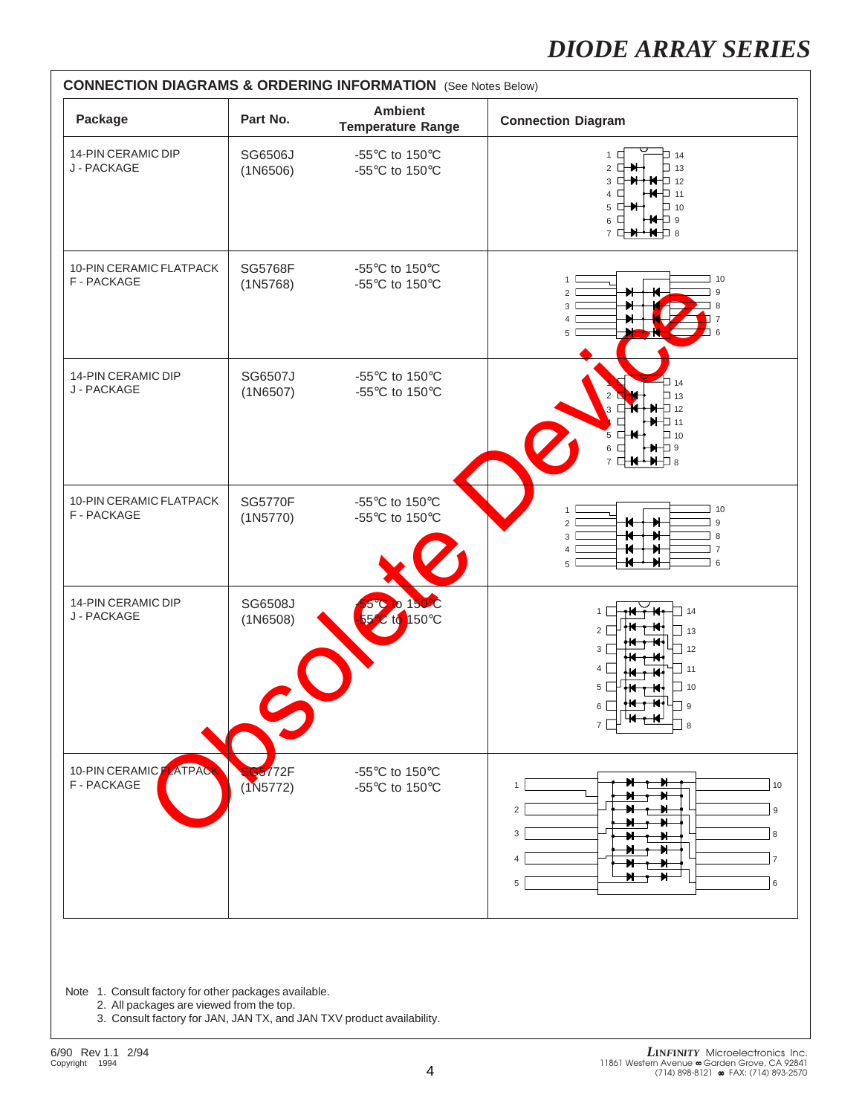

Note 1. Consult factory for other packages available.

2. All packages are viewed from the top.

3. Consult factory for JAN, JAN TX, and JAN TXV product availability.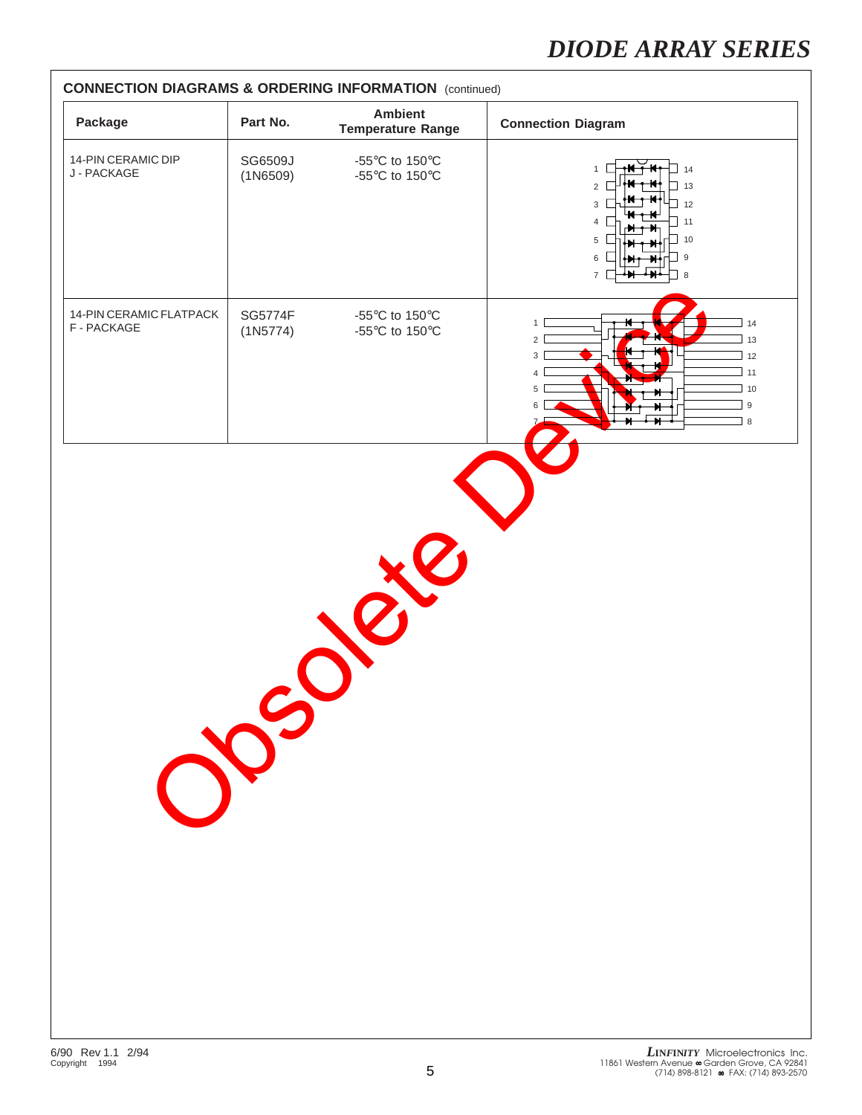| Package                                | Part No.            | <b>Ambient</b><br><b>Temperature Range</b>                                                                   | <b>Connection Diagram</b>                                                                                                                 |
|----------------------------------------|---------------------|--------------------------------------------------------------------------------------------------------------|-------------------------------------------------------------------------------------------------------------------------------------------|
| 14-PIN CERAMIC DIP<br>J - PACKAGE      | SG6509J<br>(1N6509) | -55 $\mathrm{^{\circ}C}$ to 150 $\mathrm{^{\circ}C}$<br>-55 $\mathrm{^{\circ}C}$ to 150 $\mathrm{^{\circ}C}$ | $\Box$ 14<br>$\mathbf{1}$<br>13<br>$\overline{2}$<br>12<br>3<br>11<br>10<br>5<br>6<br>9<br>$\overline{7}$<br>8                            |
| 14-PIN CERAMIC FLATPACK<br>F - PACKAGE | SG5774F<br>(1N5774) | -55 $\mathrm{^{\circ}C}$ to 150 $\mathrm{^{\circ}C}$<br>-55 $\mathrm{^{\circ}C}$ to 150 $\mathrm{^{\circ}C}$ | 1<br>14<br>$\overline{2}$<br>13<br>$\mathbf{3}$<br>12<br>11<br>$\overline{4}$<br>10<br>5 <sup>1</sup><br>$\boldsymbol{9}$<br>6<br>$\,8\,$ |
|                                        |                     |                                                                                                              |                                                                                                                                           |
|                                        |                     |                                                                                                              |                                                                                                                                           |
|                                        |                     |                                                                                                              |                                                                                                                                           |
|                                        |                     |                                                                                                              |                                                                                                                                           |
|                                        | $\infty$            |                                                                                                              |                                                                                                                                           |
|                                        |                     |                                                                                                              |                                                                                                                                           |